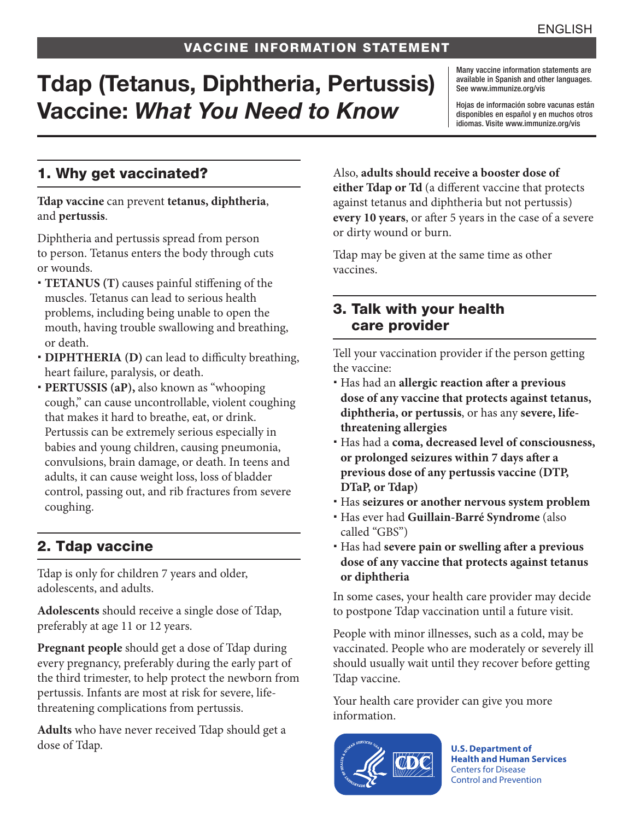# Tdap (Tetanus, Diphtheria, Pertussis) Vaccine: *What You Need to Know*

Many vaccine information statements are available in Spanish and other languages. See [www.immunize.org/vis](http://www.immunize.org/vis)

Hojas de información sobre vacunas están disponibles en español y en muchos otros idiomas. Visite [www.immunize.org/vis](http://www.immunize.org/vis)

## 1. Why get vaccinated?

**Tdap vaccine** can prevent **tetanus, diphtheria**, and **pertussis**.

Diphtheria and pertussis spread from person to person. Tetanus enters the body through cuts or wounds.

- **TETANUS (T)** causes painful stiffening of the muscles. Tetanus can lead to serious health problems, including being unable to open the mouth, having trouble swallowing and breathing, or death.
- **DIPHTHERIA (D)** can lead to difficulty breathing, heart failure, paralysis, or death.
- **PERTUSSIS (aP),** also known as "whooping cough," can cause uncontrollable, violent coughing that makes it hard to breathe, eat, or drink. Pertussis can be extremely serious especially in babies and young children, causing pneumonia, convulsions, brain damage, or death. In teens and adults, it can cause weight loss, loss of bladder control, passing out, and rib fractures from severe coughing.

## 2. Tdap vaccine

Tdap is only for children 7 years and older, adolescents, and adults.

**Adolescents** should receive a single dose of Tdap, preferably at age 11 or 12 years.

**Pregnant people** should get a dose of Tdap during every pregnancy, preferably during the early part of the third trimester, to help protect the newborn from pertussis. Infants are most at risk for severe, lifethreatening complications from pertussis.

**Adults** who have never received Tdap should get a dose of Tdap.

Also, **adults should receive a booster dose of either Tdap or Td** (a different vaccine that protects against tetanus and diphtheria but not pertussis) **every 10 years**, or after 5 years in the case of a severe or dirty wound or burn.

Tdap may be given at the same time as other vaccines.

#### 3. Talk with your health care provider

Tell your vaccination provider if the person getting the vaccine:

- Has had an **allergic reaction after a previous dose of any vaccine that protects against tetanus, diphtheria, or pertussis**, or has any **severe, lifethreatening allergies**
- Has had a **coma, decreased level of consciousness, or prolonged seizures within 7 days after a previous dose of any pertussis vaccine (DTP, DTaP, or Tdap)**
- Has **seizures or another nervous system problem**
- Has ever had **Guillain-Barré Syndrome** (also called "GBS")
- Has had **severe pain or swelling after a previous dose of any vaccine that protects against tetanus or diphtheria**

In some cases, your health care provider may decide to postpone Tdap vaccination until a future visit.

People with minor illnesses, such as a cold, may be vaccinated. People who are moderately or severely ill should usually wait until they recover before getting Tdap vaccine.

Your health care provider can give you more information.



**U.S. Department of Health and Human Services**  Centers for Disease Control and Prevention